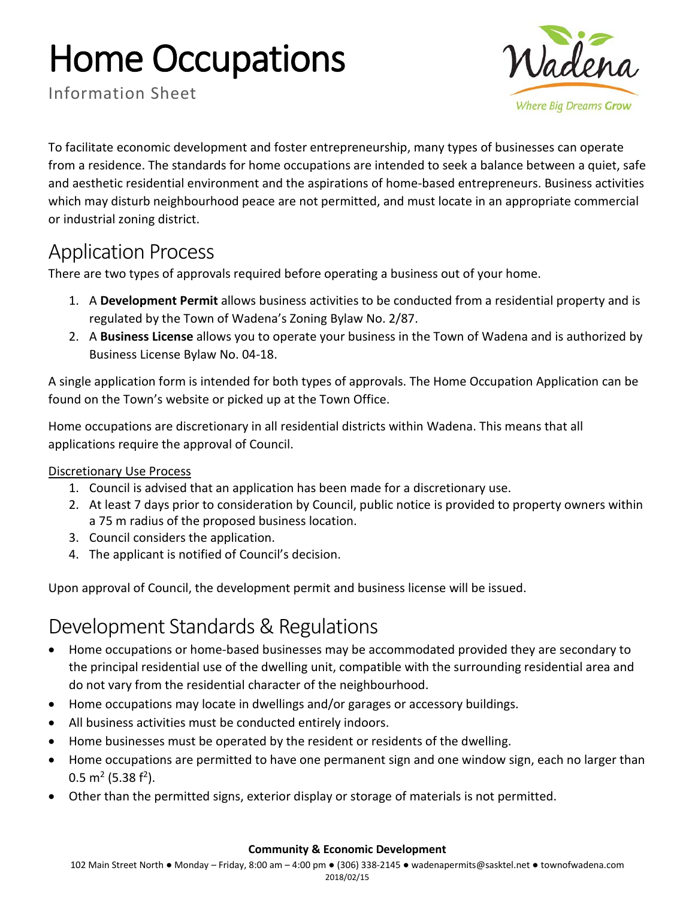# Home Occupations



Information Sheet

To facilitate economic development and foster entrepreneurship, many types of businesses can operate from a residence. The standards for home occupations are intended to seek a balance between a quiet, safe and aesthetic residential environment and the aspirations of home-based entrepreneurs. Business activities which may disturb neighbourhood peace are not permitted, and must locate in an appropriate commercial or industrial zoning district.

## Application Process

There are two types of approvals required before operating a business out of your home.

- 1. A **Development Permit** allows business activities to be conducted from a residential property and is regulated by the Town of Wadena's Zoning Bylaw No. 2/87.
- 2. A **Business License** allows you to operate your business in the Town of Wadena and is authorized by Business License Bylaw No. 04-18.

A single application form is intended for both types of approvals. The Home Occupation Application can be found on the Town's website or picked up at the Town Office.

Home occupations are discretionary in all residential districts within Wadena. This means that all applications require the approval of Council.

#### Discretionary Use Process

- 1. Council is advised that an application has been made for a discretionary use.
- 2. At least 7 days prior to consideration by Council, public notice is provided to property owners within a 75 m radius of the proposed business location.
- 3. Council considers the application.
- 4. The applicant is notified of Council's decision.

Upon approval of Council, the development permit and business license will be issued.

## Development Standards & Regulations

- Home occupations or home-based businesses may be accommodated provided they are secondary to the principal residential use of the dwelling unit, compatible with the surrounding residential area and do not vary from the residential character of the neighbourhood.
- Home occupations may locate in dwellings and/or garages or accessory buildings.
- All business activities must be conducted entirely indoors.
- Home businesses must be operated by the resident or residents of the dwelling.
- Home occupations are permitted to have one permanent sign and one window sign, each no larger than  $0.5$  m<sup>2</sup> (5.38 f<sup>2</sup>).
- Other than the permitted signs, exterior display or storage of materials is not permitted.

#### **Community & Economic Development**